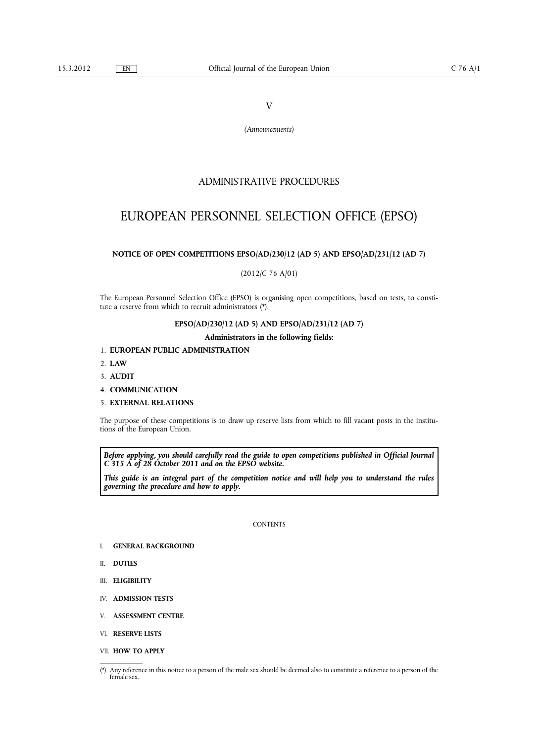V

*(Announcements)*

## ADMINISTRATIVE PROCEDURES

# EUROPEAN PERSONNEL SELECTION OFFICE (EPSO)

## **NOTICE OF OPEN COMPETITIONS EPSO/AD/230/12 (AD 5) AND EPSO/AD/231/12 (AD 7)**

(2012/C 76 A/01)

The European Personnel Selection Office (EPSO) is organising open competitions, based on tests, to constitute a reserve from which to recruit administrators (\*).

## **EPSO/AD/230/12 (AD 5) AND EPSO/AD/231/12 (AD 7)**

### **Administrators in the following fields:**

## 1. **EUROPEAN PUBLIC ADMINISTRATION**

- 2. **LAW**
- 3. **AUDIT**
- 4. **COMMUNICATION**
- 5. **EXTERNAL RELATIONS**

The purpose of these competitions is to draw up reserve lists from which to fill vacant posts in the institutions of the European Union.

*Before applying, you should carefully read the guide to open competitions published in Official Journal C 315 A of 28 October 2011 and on the EPSO website.*

*This guide is an integral part of the competition notice and will help you to understand the rules governing the procedure and how to apply.*

#### **CONTENTS**

- I. **GENERAL BACKGROUND**
- II. **DUTIES**
- III. **ELIGIBILITY**
- IV. **ADMISSION TESTS**
- V. **ASSESSMENT CENTRE**
- VI. **RESERVE LISTS**
- VII. **HOW TO APPLY**

<sup>(\*)</sup> Any reference in this notice to a person of the male sex should be deemed also to constitute a reference to a person of the female sex.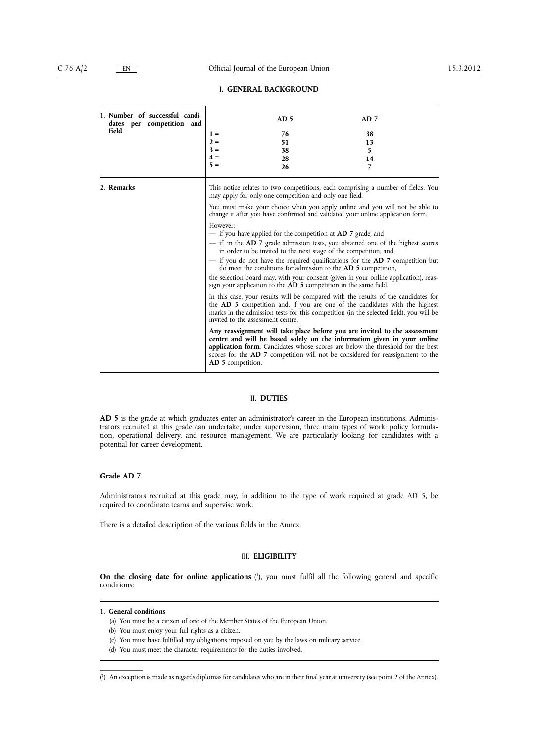## I. **GENERAL BACKGROUND**

| 1. Number of successful candi-<br>dates per competition and<br>field | $1 =$<br>$2 =$<br>$3 =$<br>$4 =$<br>$5 =$                          | AD <sub>5</sub><br>76<br>51<br>38<br>28<br>26                                                                                                                                                     | AD <sub>7</sub><br>38<br>13<br>5<br>14<br>$\overline{7}$                                                                                                                                                                                                                                                                                                                                                                                                                                                                                                                                                                                                                                                                                                                                                                                                                                                                                                                                                                                                                                                                                                                                                                                                    |
|----------------------------------------------------------------------|--------------------------------------------------------------------|---------------------------------------------------------------------------------------------------------------------------------------------------------------------------------------------------|-------------------------------------------------------------------------------------------------------------------------------------------------------------------------------------------------------------------------------------------------------------------------------------------------------------------------------------------------------------------------------------------------------------------------------------------------------------------------------------------------------------------------------------------------------------------------------------------------------------------------------------------------------------------------------------------------------------------------------------------------------------------------------------------------------------------------------------------------------------------------------------------------------------------------------------------------------------------------------------------------------------------------------------------------------------------------------------------------------------------------------------------------------------------------------------------------------------------------------------------------------------|
| 2. Remarks                                                           | However:<br>invited to the assessment centre.<br>AD 5 competition. | may apply for only one competition and only one field.<br>- if you have applied for the competition at <b>AD</b> 7 grade, and<br>sign your application to the AD 5 competition in the same field. | This notice relates to two competitions, each comprising a number of fields. You<br>You must make your choice when you apply online and you will not be able to<br>change it after you have confirmed and validated your online application form.<br>- if, in the AD 7 grade admission tests, you obtained one of the highest scores<br>in order to be invited to the next stage of the competition, and<br>- if you do not have the required qualifications for the AD 7 competition but<br>do meet the conditions for admission to the <b>AD</b> 5 competition,<br>the selection board may, with your consent (given in your online application), reas-<br>In this case, your results will be compared with the results of the candidates for<br>the AD 5 competition and, if you are one of the candidates with the highest<br>marks in the admission tests for this competition (in the selected field), you will be<br>Any reassignment will take place before you are invited to the assessment<br>centre and will be based solely on the information given in your online<br>application form. Candidates whose scores are below the threshold for the best<br>scores for the <b>AD</b> 7 competition will not be considered for reassignment to the |

## II. **DUTIES**

**AD 5** is the grade at which graduates enter an administrator's career in the European institutions. Administrators recruited at this grade can undertake, under supervision, three main types of work: policy formulation, operational delivery, and resource management. We are particularly looking for candidates with a potential for career development.

## **Grade AD 7**

Administrators recruited at this grade may, in addition to the type of work required at grade AD 5, be required to coordinate teams and supervise work.

There is a detailed description of the various fields in the Annex.

## III. **ELIGIBILITY**

**On the closing date for online applications** ( 1 ), you must fulfil all the following general and specific conditions:

1. **General conditions**

- (a) You must be a citizen of one of the Member States of the European Union.
- (b) You must enjoy your full rights as a citizen.
- (c) You must have fulfilled any obligations imposed on you by the laws on military service.
- (d) You must meet the character requirements for the duties involved.

<sup>(</sup> 1 ) An exception is made as regards diplomas for candidates who are in their final year at university (see point 2 of the Annex).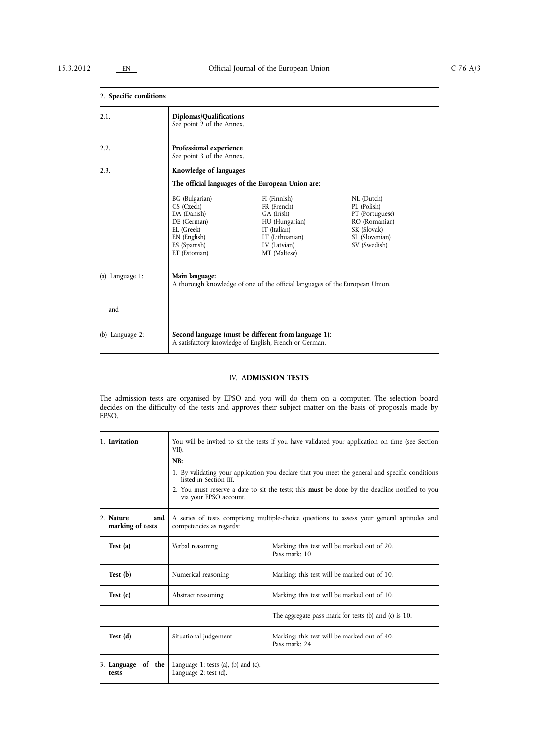## 2. **Specific conditions** 2.1. 2.2. 2.3. (a) Language 1: and (b) Language 2: **Diplomas/Qualifications** See point 2 of the Annex. **Professional experience** See point 3 of the Annex. **Knowledge of languages The official languages of the European Union are:** BG (Bulgarian) FI (Finnish) NL (Dutch)<br>CS (Czech) FR (French) PL (Polish) CS (Czech) FR (French)<br>DA (Danish) GA (Irish) DA (Danish) GA (Irish) PT (Portuguese)<br>DE (German) HU (Hungarian) RO (Romanian) DE (German)<br>
DE (German)<br>
EL (Greek)<br>
TT (Italian) EL (Greek) IT (Italian) SK (Slovak) EN (English) LT (Lithuanian) SL (Slovenian) ES (Spanish) LV (Latvian) SV (Swedish) ET (Estonian) MT (Maltese) **Main language:** A thorough knowledge of one of the official languages of the European Union. **Second language (must be different from language 1):** A satisfactory knowledge of English, French or German.

### IV. **ADMISSION TESTS**

The admission tests are organised by EPSO and you will do them on a computer. The selection board decides on the difficulty of the tests and approves their subject matter on the basis of proposals made by EPSO.

| 1. Invitation                        | You will be invited to sit the tests if you have validated your application on time (see Section<br>VII).                                                                                                                                                    |                                                               |  |
|--------------------------------------|--------------------------------------------------------------------------------------------------------------------------------------------------------------------------------------------------------------------------------------------------------------|---------------------------------------------------------------|--|
|                                      | NB:                                                                                                                                                                                                                                                          |                                                               |  |
|                                      | 1. By validating your application you declare that you meet the general and specific conditions<br>listed in Section III.<br>2. You must reserve a date to sit the tests; this <b>must</b> be done by the deadline notified to you<br>via your EPSO account. |                                                               |  |
| 2. Nature<br>and<br>marking of tests | A series of tests comprising multiple-choice questions to assess your general aptitudes and<br>competencies as regards:                                                                                                                                      |                                                               |  |
| Test (a)                             | Verbal reasoning                                                                                                                                                                                                                                             | Marking: this test will be marked out of 20.<br>Pass mark: 10 |  |
| Test (b)                             | Numerical reasoning                                                                                                                                                                                                                                          | Marking: this test will be marked out of 10.                  |  |
| Test(c)                              | Abstract reasoning                                                                                                                                                                                                                                           | Marking: this test will be marked out of 10.                  |  |
|                                      |                                                                                                                                                                                                                                                              | The aggregate pass mark for tests $(b)$ and $(c)$ is 10.      |  |
| Test (d)                             | Situational judgement                                                                                                                                                                                                                                        | Marking: this test will be marked out of 40.<br>Pass mark: 24 |  |
| of the<br>3. Language<br>tests       | Language 1: tests (a), (b) and (c).<br>Language $2$ : test $(d)$ .                                                                                                                                                                                           |                                                               |  |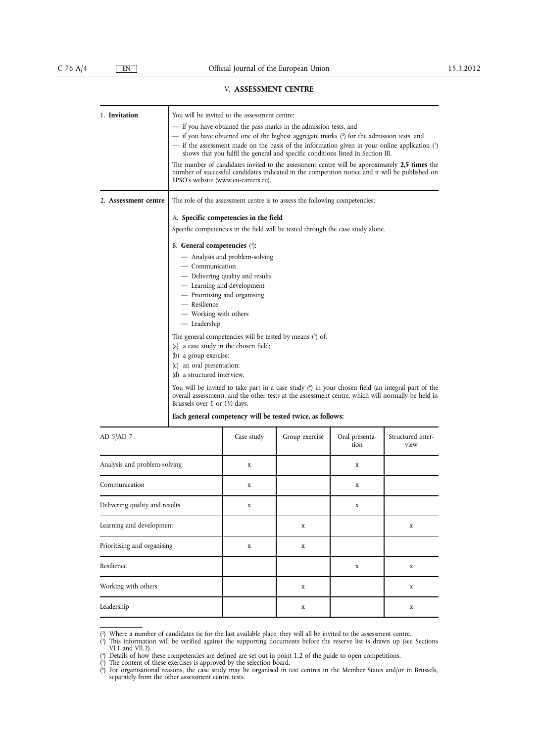## V. **ASSESSMENT CENTRE**

| 1. Invitation        | You will be invited to the assessment centre:                                                                                                                                                                                           |  |  |
|----------------------|-----------------------------------------------------------------------------------------------------------------------------------------------------------------------------------------------------------------------------------------|--|--|
|                      | - if you have obtained the pass marks in the admission tests, and                                                                                                                                                                       |  |  |
|                      | — if you have obtained one of the highest aggregate marks (2) for the admission tests, and                                                                                                                                              |  |  |
|                      | - if the assessment made on the basis of the information given in your online application (?)<br>shows that you fulfil the general and specific conditions listed in Section III.                                                       |  |  |
|                      | The number of candidates invited to the assessment centre will be approximately 2,5 times the<br>number of successful candidates indicated in the competition notice and it will be published on<br>EPSO's website (www.eu-careers.eu). |  |  |
| 2. Assessment centre | The role of the assessment centre is to assess the following competencies:                                                                                                                                                              |  |  |
|                      | A. Specific competencies in the field                                                                                                                                                                                                   |  |  |
|                      | Specific competencies in the field will be tested through the case study alone.                                                                                                                                                         |  |  |
|                      | B. General competencies (4):                                                                                                                                                                                                            |  |  |
|                      | - Analysis and problem-solving<br>- Communication                                                                                                                                                                                       |  |  |
|                      |                                                                                                                                                                                                                                         |  |  |
|                      | - Delivering quality and results                                                                                                                                                                                                        |  |  |
|                      | - Learning and development                                                                                                                                                                                                              |  |  |
|                      | - Prioritising and organising                                                                                                                                                                                                           |  |  |
|                      | $-$ Resilience                                                                                                                                                                                                                          |  |  |
|                      | - Working with others<br>— Leadership                                                                                                                                                                                                   |  |  |
|                      |                                                                                                                                                                                                                                         |  |  |
|                      | The general competencies will be tested by means $(5)$ of:                                                                                                                                                                              |  |  |
|                      | (a) a case study in the chosen field;<br>(b) a group exercise;                                                                                                                                                                          |  |  |
|                      | (c) an oral presentation;                                                                                                                                                                                                               |  |  |
|                      | (d) a structured interview.                                                                                                                                                                                                             |  |  |
|                      |                                                                                                                                                                                                                                         |  |  |
|                      | You will be invited to take part in a case study (6) in your chosen field (an integral part of the<br>overall assessment), and the other tests at the assessment centre, which will normally be held in<br>Brussels over 1 or 1½ days.  |  |  |
|                      | Each general competency will be tested twice, as follows:                                                                                                                                                                               |  |  |

| AD 5/AD 7                      | Case study  | Group exercise | Oral presenta-<br>tion | Structured inter-<br>view |
|--------------------------------|-------------|----------------|------------------------|---------------------------|
| Analysis and problem-solving   | $\mathbf X$ |                | X                      |                           |
| Communication                  | $\mathbf X$ |                | $\mathbf X$            |                           |
| Delivering quality and results | $\mathbf X$ |                | X                      |                           |
| Learning and development       |             | X              |                        | $\mathbf X$               |
| Prioritising and organising    | $\mathbf X$ | $\mathbf X$    |                        |                           |
| Resilience                     |             |                | $\mathbf X$            | $\mathbf X$               |
| Working with others            |             | X              |                        | $\mathbf X$               |
| Leadership                     |             | $\mathbf X$    |                        | $\mathbf X$               |

 $($ <sup>2</sup> ) Where a number of candidates tie for the last available place, they will all be invited to the assessment centre.

 $(3)$ ) This information will be verified against the supporting documents before the reserve list is drawn up (see Sections VI.1 and VII.2).

 $($ <sup>4</sup> ) Details of how these competencies are defined are set out in point 1.2 of the guide to open competitions.

<sup>(</sup> 5 ) The content of these exercises is approved by the selection board.

<sup>(</sup> 6 ) For organisational reasons, the case study may be organised in test centres in the Member States and/or in Brussels, separately from the other assessment centre tests.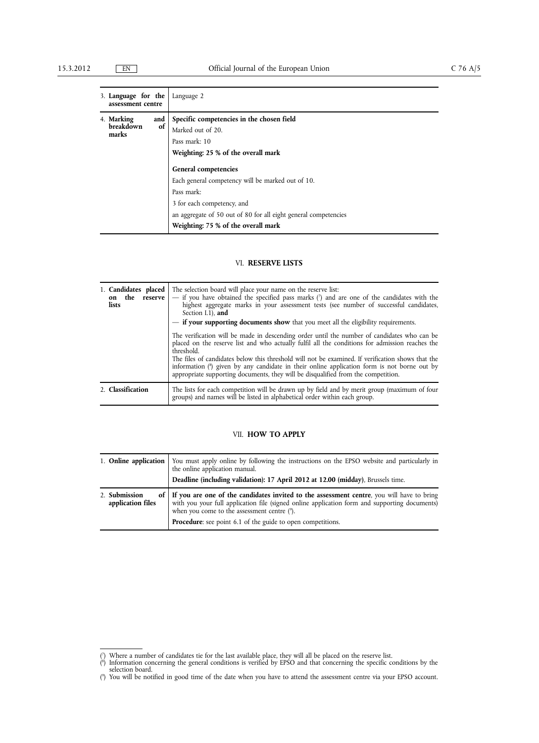|  | 3. Language for the<br>assessment centre |           | Language 2                                                      |
|--|------------------------------------------|-----------|-----------------------------------------------------------------|
|  | 4. Marking<br>breakdown<br>marks         | and<br>of | Specific competencies in the chosen field                       |
|  |                                          |           | Marked out of 20.                                               |
|  |                                          |           | Pass mark: 10                                                   |
|  |                                          |           | Weighting: 25 % of the overall mark                             |
|  |                                          |           | General competencies                                            |
|  |                                          |           | Each general competency will be marked out of 10.               |
|  |                                          |           | Pass mark:                                                      |
|  |                                          |           | 3 for each competency, and                                      |
|  |                                          |           | an aggregate of 50 out of 80 for all eight general competencies |
|  |                                          |           | Weighting: 75 % of the overall mark                             |

## VI. **RESERVE LISTS**

| 1. Candidates placed<br>on the reserve<br>lists | The selection board will place your name on the reserve list:<br>- if you have obtained the specified pass marks $(7)$ and are one of the candidates with the<br>highest aggregate marks in your assessment tests (see number of successful candidates,<br>Section I.1), and<br>- if your supporting documents show that you meet all the eligibility requirements.<br>The verification will be made in descending order until the number of candidates who can be<br>placed on the reserve list and who actually fulfil all the conditions for admission reaches the<br>threshold.<br>The files of candidates below this threshold will not be examined. If verification shows that the<br>information $\binom{8}{2}$ given by any candidate in their online application form is not borne out by<br>appropriate supporting documents, they will be disqualified from the competition. |
|-------------------------------------------------|-----------------------------------------------------------------------------------------------------------------------------------------------------------------------------------------------------------------------------------------------------------------------------------------------------------------------------------------------------------------------------------------------------------------------------------------------------------------------------------------------------------------------------------------------------------------------------------------------------------------------------------------------------------------------------------------------------------------------------------------------------------------------------------------------------------------------------------------------------------------------------------------|
| 2. Classification                               | The lists for each competition will be drawn up by field and by merit group (maximum of four<br>groups) and names will be listed in alphabetical order within each group.                                                                                                                                                                                                                                                                                                                                                                                                                                                                                                                                                                                                                                                                                                               |

## VII. **HOW TO APPLY**

|                                    | 1. <b>Online application</b> You must apply online by following the instructions on the EPSO website and particularly in the online application manual.<br>Deadline (including validation): 17 April 2012 at 12.00 (midday), Brussels time.  |
|------------------------------------|----------------------------------------------------------------------------------------------------------------------------------------------------------------------------------------------------------------------------------------------|
| 2. Submission<br>application files | of If you are one of the candidates invited to the assessment centre, you will have to bring<br>with you your full application file (signed online application form and supporting documents)<br>when you come to the assessment centre (9). |
|                                    | Procedure: see point 6.1 of the guide to open competitions.                                                                                                                                                                                  |

<sup>(</sup> 7 ) Where a number of candidates tie for the last available place, they will all be placed on the reserve list.

<sup>(</sup> 8 ) Information concerning the general conditions is verified by EPSO and that concerning the specific conditions by the selection board.

<sup>(</sup> 9 ) You will be notified in good time of the date when you have to attend the assessment centre via your EPSO account.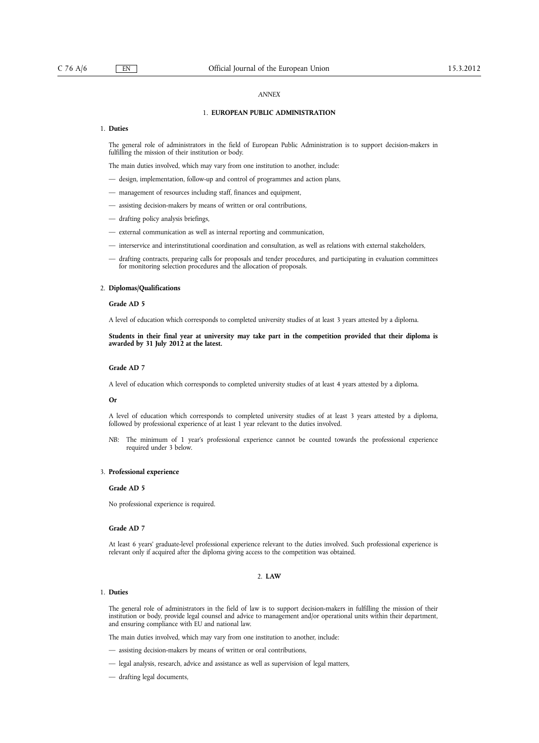#### *ANNEX*

## 1. **EUROPEAN PUBLIC ADMINISTRATION**

### 1. **Duties**

The general role of administrators in the field of European Public Administration is to support decision-makers in fulfilling the mission of their institution or body.

The main duties involved, which may vary from one institution to another, include:

- design, implementation, follow-up and control of programmes and action plans,
- management of resources including staff, finances and equipment,
- assisting decision-makers by means of written or oral contributions,
- drafting policy analysis briefings,
- external communication as well as internal reporting and communication,
- interservice and interinstitutional coordination and consultation, as well as relations with external stakeholders,
- drafting contracts, preparing calls for proposals and tender procedures, and participating in evaluation committees for monitoring selection procedures and the allocation of proposals.

#### 2. **Diplomas/Qualifications**

#### **Grade AD 5**

A level of education which corresponds to completed university studies of at least 3 years attested by a diploma.

#### Students in their final year at university may take part in the competition provided that their diploma is **awarded by 31 July 2012 at the latest.**

### **Grade AD 7**

A level of education which corresponds to completed university studies of at least 4 years attested by a diploma.

#### **Or**

A level of education which corresponds to completed university studies of at least 3 years attested by a diploma, followed by professional experience of at least 1 year relevant to the duties involved.

*NB:* The minimum of 1 year's professional experience cannot be counted towards the professional experience required under 3 below.

#### 3. **Professional experience**

### **Grade AD 5**

No professional experience is required.

#### **Grade AD 7**

At least 6 years' graduate-level professional experience relevant to the duties involved. Such professional experience is relevant only if acquired after the diploma giving access to the competition was obtained.

### 2. **LAW**

#### 1. **Duties**

The general role of administrators in the field of law is to support decision-makers in fulfilling the mission of their institution or body, provide legal counsel and advice to management and/or operational units within their department, and ensuring compliance with EU and national law.

The main duties involved, which may vary from one institution to another, include:

- assisting decision-makers by means of written or oral contributions,
- legal analysis, research, advice and assistance as well as supervision of legal matters,
- drafting legal documents,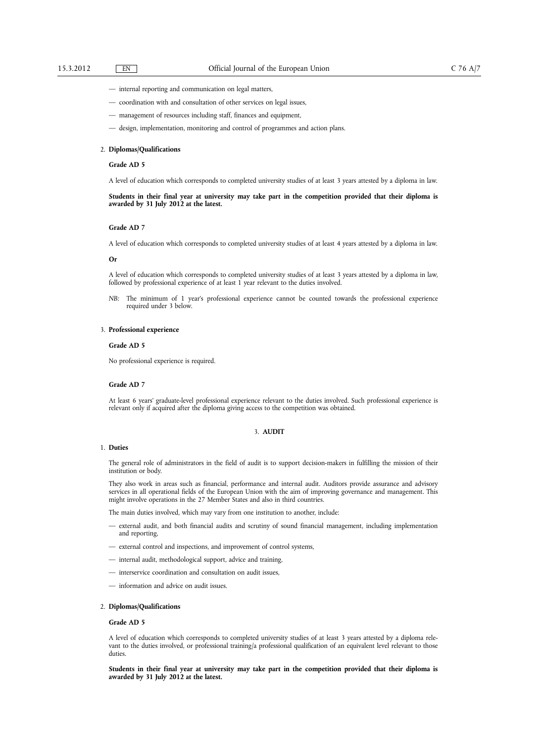- internal reporting and communication on legal matters,
- coordination with and consultation of other services on legal issues,
- management of resources including staff, finances and equipment,
- design, implementation, monitoring and control of programmes and action plans.

#### 2. **Diplomas/Qualifications**

### **Grade AD 5**

A level of education which corresponds to completed university studies of at least 3 years attested by a diploma in law.

Students in their final year at university may take part in the competition provided that their diploma is **awarded by 31 July 2012 at the latest.**

#### **Grade AD 7**

A level of education which corresponds to completed university studies of at least 4 years attested by a diploma in law.

#### **Or**

A level of education which corresponds to completed university studies of at least 3 years attested by a diploma in law, followed by professional experience of at least 1 year relevant to the duties involved.

*NB:* The minimum of 1 year's professional experience cannot be counted towards the professional experience required under 3 below.

### 3. **Professional experience**

## **Grade AD 5**

No professional experience is required.

#### **Grade AD 7**

At least 6 years' graduate-level professional experience relevant to the duties involved. Such professional experience is relevant only if acquired after the diploma giving access to the competition was obtained.

### 3. **AUDIT**

#### 1. **Duties**

The general role of administrators in the field of audit is to support decision-makers in fulfilling the mission of their institution or body.

They also work in areas such as financial, performance and internal audit. Auditors provide assurance and advisory services in all operational fields of the European Union with the aim of improving governance and management. This might involve operations in the 27 Member States and also in third countries.

The main duties involved, which may vary from one institution to another, include:

- external audit, and both financial audits and scrutiny of sound financial management, including implementation and reporting,
- external control and inspections, and improvement of control systems,
- internal audit, methodological support, advice and training,
- interservice coordination and consultation on audit issues,
- information and advice on audit issues.

#### 2. **Diplomas/Qualifications**

#### **Grade AD 5**

A level of education which corresponds to completed university studies of at least 3 years attested by a diploma relevant to the duties involved, or professional training/a professional qualification of an equivalent level relevant to those duties.

Students in their final year at university may take part in the competition provided that their diploma is **awarded by 31 July 2012 at the latest.**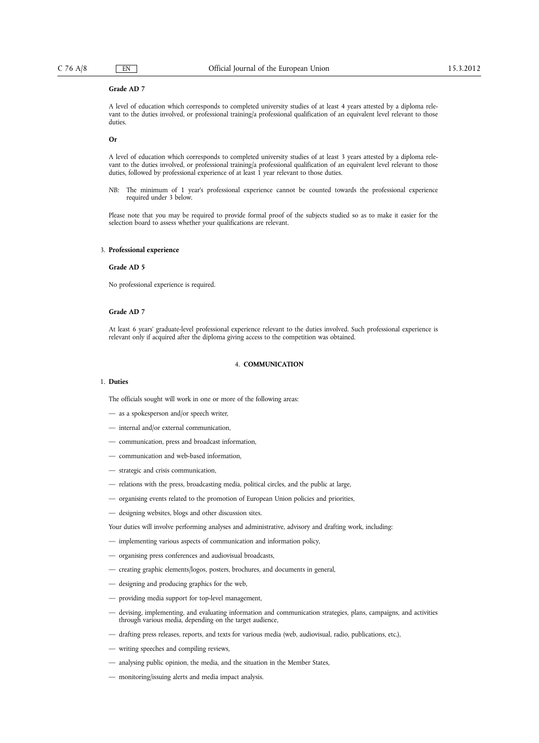### **Grade AD 7**

A level of education which corresponds to completed university studies of at least 4 years attested by a diploma relevant to the duties involved, or professional training/a professional qualification of an equivalent level relevant to those duties.

**Or**

A level of education which corresponds to completed university studies of at least 3 years attested by a diploma relevant to the duties involved, or professional training/a professional qualification of an equivalent level relevant to those duties, followed by professional experience of at least 1 year relevant to those duties.

*NB:* The minimum of 1 year's professional experience cannot be counted towards the professional experience required under 3 below.

Please note that you may be required to provide formal proof of the subjects studied so as to make it easier for the selection board to assess whether your qualifications are relevant.

#### 3. **Professional experience**

## **Grade AD 5**

No professional experience is required.

### **Grade AD 7**

At least 6 years' graduate-level professional experience relevant to the duties involved. Such professional experience is relevant only if acquired after the diploma giving access to the competition was obtained.

### 4. **COMMUNICATION**

## 1. **Duties**

The officials sought will work in one or more of the following areas:

- as a spokesperson and/or speech writer,
- internal and/or external communication,
- communication, press and broadcast information,
- communication and web-based information,
- strategic and crisis communication,
- relations with the press, broadcasting media, political circles, and the public at large,
- organising events related to the promotion of European Union policies and priorities,
- designing websites, blogs and other discussion sites.

Your duties will involve performing analyses and administrative, advisory and drafting work, including:

- implementing various aspects of communication and information policy,
- organising press conferences and audiovisual broadcasts,
- creating graphic elements/logos, posters, brochures, and documents in general,
- designing and producing graphics for the web,
- providing media support for top-level management,
- devising, implementing, and evaluating information and communication strategies, plans, campaigns, and activities through various media, depending on the target audience,
- drafting press releases, reports, and texts for various media (web, audiovisual, radio, publications, etc.),
- writing speeches and compiling reviews,
- analysing public opinion, the media, and the situation in the Member States,
- monitoring/issuing alerts and media impact analysis.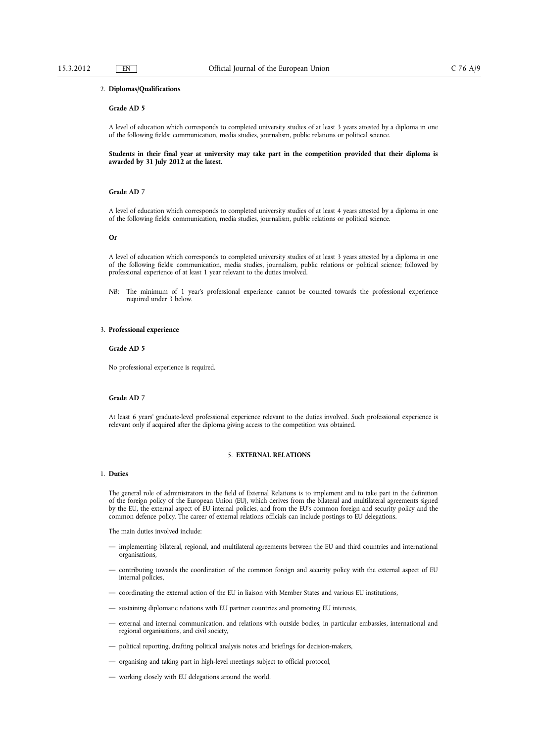#### 2. **Diplomas/Qualifications**

## **Grade AD 5**

A level of education which corresponds to completed university studies of at least 3 years attested by a diploma in one of the following fields: communication, media studies, journalism, public relations or political science.

Students in their final year at university may take part in the competition provided that their diploma is **awarded by 31 July 2012 at the latest.**

#### **Grade AD 7**

A level of education which corresponds to completed university studies of at least 4 years attested by a diploma in one of the following fields: communication, media studies, journalism, public relations or political science.

#### **Or**

A level of education which corresponds to completed university studies of at least 3 years attested by a diploma in one of the following fields: communication, media studies, journalism, public relations or political science; followed by professional experience of at least 1 year relevant to the duties involved.

*NB:* The minimum of 1 year's professional experience cannot be counted towards the professional experience required under 3 below.

#### 3. **Professional experience**

#### **Grade AD 5**

No professional experience is required.

## **Grade AD 7**

At least 6 years' graduate-level professional experience relevant to the duties involved. Such professional experience is relevant only if acquired after the diploma giving access to the competition was obtained.

#### 5. **EXTERNAL RELATIONS**

#### 1. **Duties**

The general role of administrators in the field of External Relations is to implement and to take part in the definition of the foreign policy of the European Union (EU), which derives from the bilateral and multilateral agreements signed by the EU, the external aspect of EU internal policies, and from the EU's common foreign and security policy and the common defence policy. The career of external relations officials can include postings to EU delegations.

The main duties involved include:

- implementing bilateral, regional, and multilateral agreements between the EU and third countries and international organisations,
- contributing towards the coordination of the common foreign and security policy with the external aspect of EU internal policies,
- coordinating the external action of the EU in liaison with Member States and various EU institutions,
- sustaining diplomatic relations with EU partner countries and promoting EU interests,
- external and internal communication, and relations with outside bodies, in particular embassies, international and regional organisations, and civil society,
- political reporting, drafting political analysis notes and briefings for decision-makers,
- organising and taking part in high-level meetings subject to official protocol,
- working closely with EU delegations around the world.